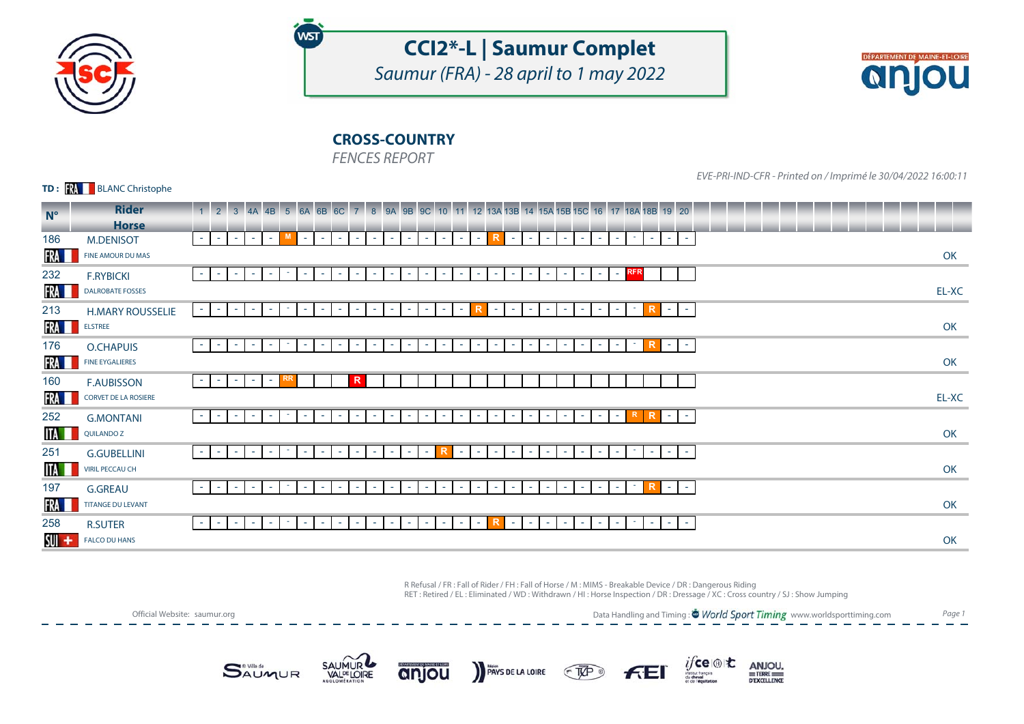

# **CCI2\*-L | Saumur Complet**

Saumur (FRA) - 28 april to 1 may 2022



## **CROSS-COUNTRY**

FENCES REPORT

WST

**TD: KA** BLANC Christophe

EVE-PRI-IND-CFR - Printed on / Imprimé le 30/04/2022 16:00:11

| $N^{\circ}$ | <b>Rider</b>                | 1 2 3 4A 4B 5 6A 6B 6C 7 8 9A 9B 9C 10 11 12 13A 13B 14 15A 15B 15C 16 17 18A 18B 19 20                                                                                                                                                                                                                                                                         |       |
|-------------|-----------------------------|-----------------------------------------------------------------------------------------------------------------------------------------------------------------------------------------------------------------------------------------------------------------------------------------------------------------------------------------------------------------|-------|
|             | <b>Horse</b>                |                                                                                                                                                                                                                                                                                                                                                                 |       |
| 186         | <b>M.DENISOT</b>            | M.<br>R<br>$\sim 10$<br><b>T</b><br>$\sim$<br>$\sim$ 1<br>$\sim$<br>$\sim$<br><b>Section</b><br>$\sim$<br>$\sim$<br>$\sim$<br>$\sim$<br>$\sim$<br>$\sim$<br>د س<br>$\sim$<br><b>College</b><br>$\sim$<br>$\sim$<br><b>Contract</b><br>$\sim$<br>$\sim$ 10 $\pm$<br>$\sim$<br>$\sim$<br>- 1<br>$\sim$<br><b>Section</b><br>$\sim$ 10 $\pm$                       |       |
| FRA         | FINE AMOUR DU MAS           |                                                                                                                                                                                                                                                                                                                                                                 | OK    |
| 232         | <b>F.RYBICKI</b>            | - RFR<br><b>COL</b><br>$\sim$<br>$\sim$<br>$\sim$ 10<br>$\sim$<br>$\sim$<br>$\sim$ $-$<br>$\sim$<br>$\sim$<br>$\sim$<br>$\sim$<br><b>Contract</b><br>$\sim$<br>$\sim$<br>the c<br>$\sim$<br>$\sim$<br>$\sim$<br>$\sim$<br>$\sim$<br>$\sim$<br>$\sim$<br>$\sim$                                                                                                  |       |
| FRA         | <b>DALROBATE FOSSES</b>     |                                                                                                                                                                                                                                                                                                                                                                 | EL-XC |
| 213         | <b>H.MARY ROUSSELIE</b>     | ٠.<br>٠<br>$\sim$<br>$\sim$<br>$\sim$ 10<br>$\sim$<br>$\sim$<br>$\sim$<br>$\sim$<br>$\sim$<br>$\sim$<br>$\sim$<br>$\sim$<br>$\sim$<br>$\sim$<br>$\sim$<br>$\sim$<br>$\sim$<br>$\sim$<br>$\sim$<br>$\sim$<br>$\sim$<br>$\sim$<br>$\sim$<br>$\sim$                                                                                                                |       |
| FRA I       | <b>ELSTREE</b>              |                                                                                                                                                                                                                                                                                                                                                                 | OK    |
| 176         | O.CHAPUIS                   | $\sim$<br>$\sim$<br>$\sim$<br><b>COL</b><br>$\sim$ 10<br>$\sim$<br>$\sim$<br>$\sim$<br>control.<br>$\sim$<br>$\sim$<br>$\sim$<br>$\sim$<br>$\sim$<br>$\sim$<br>$\sim$<br>$\sim$<br>$\sim$<br>$\sim$<br>$\sim$<br>$\sim$<br>$\sim$<br>$\sim$<br>$\sim$<br>$\sim$<br>$\sim$<br>ж.<br>$\sim$                                                                       |       |
| FRA         | <b>FINE EYGALIERES</b>      |                                                                                                                                                                                                                                                                                                                                                                 | OK    |
| 160         | <b>F.AUBISSON</b>           | R<br>RR<br>$\sim$ $-$<br>control.<br>$\sim$<br>$\sim$<br><b>Contract</b>                                                                                                                                                                                                                                                                                        |       |
| FRA         | <b>CORVET DE LA ROSIERE</b> |                                                                                                                                                                                                                                                                                                                                                                 | EL-XC |
| 252         | <b>G.MONTANI</b>            | R<br>$\mathbf{r} = \mathbf{r}$<br>$\sim$<br>$\sim$<br>$\sim$ 10<br>$\sim$ 10<br>$\sim$ $-$<br><b>COL</b><br>$\sim$<br>$\sim$<br>$\sim$<br>$\sim$<br>$\sim$<br>$\sim$<br>$\sim$<br><b>College</b><br>$\sim$<br><b>Section</b><br>the c<br>$\sim$<br>$\sim$<br>$\sim$<br>$\sim$<br>$\sim$<br>$\sim$<br>$\sim$<br>$\sim$<br>$\sim$                                 |       |
| ITA I       | QUILANDO Z                  |                                                                                                                                                                                                                                                                                                                                                                 | OK    |
| 251         | <b>G.GUBELLINI</b>          | R<br>$\sim$<br>$\sim$<br>$\sim$<br>۰.<br>$\sim$<br>$\sim$<br>$\sim$<br>$\sim$<br><b>College</b><br>$\sim$<br>control.<br>$\sim$<br>$\sim$<br>$\sim$<br>$\sim$<br>×.<br>$\sim$<br>$\sim$<br>. <b>.</b><br>$\sim$<br>$\sim$<br>$\sim$<br>$\sim$<br>$\sim$<br>$\sim$<br>$\sim$<br>$\sim$                                                                           |       |
| <b>ITA</b>  | <b>VIRIL PECCAU CH</b>      |                                                                                                                                                                                                                                                                                                                                                                 | OK    |
| 197         | <b>G.GREAU</b>              | $\sim$<br>$\sim$<br>$\sim$<br>٠<br>$\sim$<br>$\sim$ $ \sim$<br>$\sim$<br>$\sim$<br>$\sim$<br>a.<br>$\sim$<br>$\sim$<br>$\sim$<br>$\sim$<br>a.<br><b>College</b><br>$\sim$<br>$\sim$<br>a.<br>$\sim$<br>$\sim$<br>$\sim$<br>$\sim$<br>$\sim$<br>$\sim$<br>$\sim$<br>٠<br>$\sim$                                                                                  |       |
| FRA         | <b>TITANGE DU LEVANT</b>    |                                                                                                                                                                                                                                                                                                                                                                 | OK    |
| 258         | <b>R.SUTER</b>              | R<br><b>COL</b><br><b>College</b><br>$\sim$<br>$\sim$<br><b>Section</b><br>$\sim$<br>$\sim$<br>$\sim$<br>$\sim$<br><b>Section</b><br>$\sim$<br><b>College</b><br>$\sim$<br>$\sim$<br>$\sim$<br>$\sim$<br>$\sim$<br>- 1<br><b>Contract</b><br>$\sim$<br><b>COL</b><br>$\sim$<br><b>Section</b><br>$\sim$<br><b>Section</b><br><b>Section</b><br>$\sim$<br>$\sim$ |       |
| sui +       | <b>FALCO DU HANS</b>        |                                                                                                                                                                                                                                                                                                                                                                 | OK    |

R Refusal / FR : Fall of Rider / FH : Fall of Horse / M : MIMS - Breakable Device / DR : Dangerous Riding RET : Retired / EL : Eliminated / WD : Withdrawn / HI : Horse Inspection / DR : Dressage / XC : Cross country / SJ : Show Jumping

Official Website: saumur.org

Data Handling and Timing : <sup>\*</sup> World Sport Timing www.worldsporttiming.com Page 1











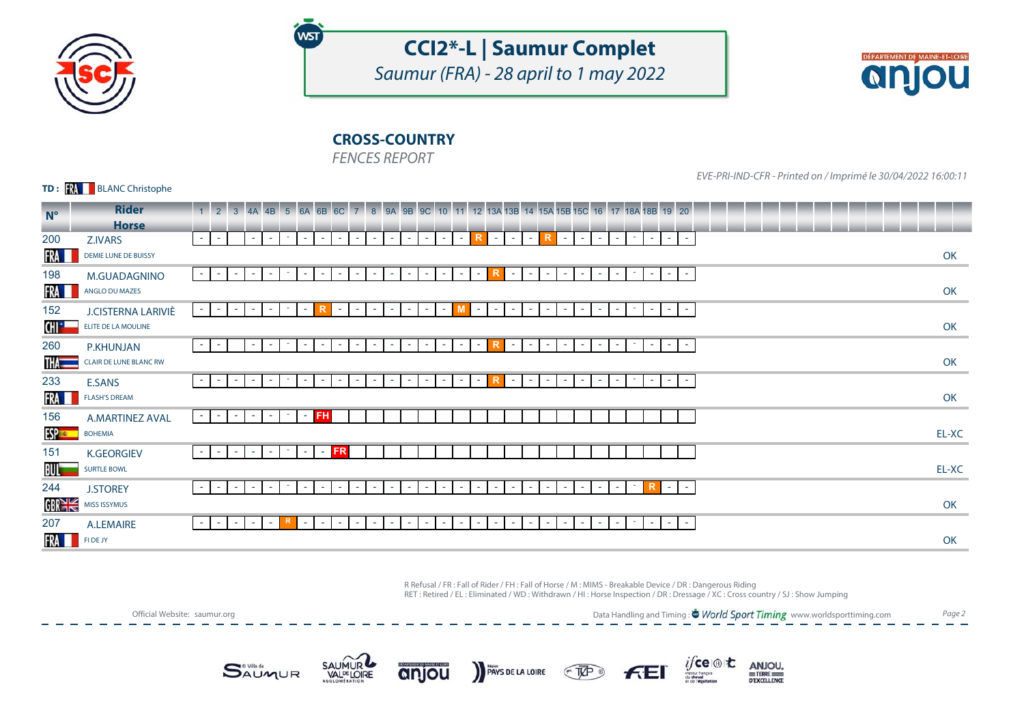

# **CCI2\*-L | Saumur Complet**

Saumur (FRA) - 28 april to 1 may 2022



## **CROSS-COUNTRY**

FENCES REPORT

**WST** 

**TD: KA** BLANC Christophe

EVE-PRI-IND-CFR - Printed on / Imprimé le 30/04/2022 16:00:11

| $N^{\circ}$  | <b>Rider</b>                  | 1 2 3 4A 4B 5 6A 6B 6C 7 8 9A 9B 9C 10 11 12 13A 13B 14 15A 15B 15C 16 17 18A 18B 19 20                                                                                                                                                                                                                                                             |       |
|--------------|-------------------------------|-----------------------------------------------------------------------------------------------------------------------------------------------------------------------------------------------------------------------------------------------------------------------------------------------------------------------------------------------------|-------|
|              | <b>Horse</b>                  |                                                                                                                                                                                                                                                                                                                                                     |       |
| 200          | Z.IVARS                       | R<br>R<br>$\sim$<br>$\sim$<br>$\sim 10$<br>$\sim$ 1<br>$\sim$<br>$\sim$<br>$\sim 10$<br>$\sim 10$<br>$\sim$<br><b>College</b><br><b>Section</b><br>$\sim$<br><b>Contract</b><br>$\sim$ 10 $\pm$<br>$\sim$<br>$\sim$<br><b>Contract</b><br><b>College</b><br>a e l<br><b>Section</b><br>$\sim$<br>$\sim$<br>$\sim$<br><b>COL</b><br>$\sim$<br>$\sim$ |       |
| FRA <b>I</b> | DEMIE LUNE DE BUISSY          |                                                                                                                                                                                                                                                                                                                                                     | OK    |
| 198          | <b>M.GUADAGNINO</b>           | $\sim$<br>$\sim$<br>$\sim$ $-$<br>٠<br>$\sim$<br>×.<br>$\sim$<br>$\sim$<br>×.<br>$\sim$<br>$\sim$<br>$\sim$<br>$\sim$<br>$\sim$<br>$\sim$<br>×.<br>$\sim$<br>$\sim$<br>$\sim$ 10 $\pm$<br>$\sim$<br>the c<br>$\sim$ 10 $\pm$<br>$\sim$<br>×.<br>$\sim$ 10 $\pm$<br>$\sim$<br>$\overline{\phantom{a}}$<br>$\sim$                                     |       |
| FRA <b>I</b> | ANGLO DU MAZES                |                                                                                                                                                                                                                                                                                                                                                     | OK    |
| 152          | J.CISTERNA LARIVIÈ            | $\overline{\phantom{a}}$<br>$\sim$<br><b>Contract</b><br>$\sim$<br>$\sim$<br>$\sim$<br>$\sim$<br>$\sim$<br>$\sim$<br>$\sim$<br>$\sim$<br>$\sim$<br>$\sim$<br>$\sim$<br>$\sim$<br>$\sim$<br>$\sim$<br>$\sim$<br>$\sim$<br>٠<br>$\sim$<br>$\sim$<br>ж.                                                                                                |       |
| CHI - -      | ELITE DE LA MOULINE           |                                                                                                                                                                                                                                                                                                                                                     | OK    |
| 260          | <b>P.KHUNJAN</b>              | $\sim$<br>$\sim$<br>٠<br>$\sim$<br>$\sim$<br>$\sim$<br>$\sim$<br>$\sim$<br>$\sim$<br>$\sim$<br>$\sim$<br>$\sim$<br>$\sim$<br>$\sim$<br>$\sim$<br>$\sim$<br>$\sim$<br>$\sim$<br>$\sim$<br>$\sim$<br>$\sim$<br>$\sim$<br>$\sim$<br>ж.<br>ж.<br>$\sim$                                                                                                 |       |
| THA —        | <b>CLAIR DE LUNE BLANC RW</b> |                                                                                                                                                                                                                                                                                                                                                     | OK    |
| 233          | <b>E.SANS</b>                 | ٠<br>$\sim$<br>$\sim$<br>$\sim$<br><b>College</b><br>$\sim$<br>$\sim$<br>$\sim$<br>$\sim$<br>$\sim$<br>$\sim$<br>$\sim$<br>$\sim$<br>$\sim$<br>$\sim$<br>$\sim$<br>$\sim$<br>$\sim$<br>$\sim$<br>$\sim$<br>$\sim$<br>$\sim$<br>$\sim$<br>$\sim$<br><b>COL</b><br>the con-<br>$\sim$<br><b>COL</b>                                                   |       |
| FRA <b>I</b> | <b>FLASH'S DREAM</b>          |                                                                                                                                                                                                                                                                                                                                                     | OK    |
| 156          | <b>A.MARTINEZ AVAL</b>        | $-$ FH<br><b>H</b><br>$\sim$<br>the c<br><b>College</b><br>$\sim$<br>$\sim$                                                                                                                                                                                                                                                                         |       |
| <b>ESPER</b> | <b>BOHEMIA</b>                |                                                                                                                                                                                                                                                                                                                                                     | EL-XC |
| 151          | <b>K.GEORGIEV</b>             | <b>FR</b><br>٠<br>$\sim$<br>$\sim$<br>$\sim$<br>$\sim$<br>$\sim$<br>$\sim$                                                                                                                                                                                                                                                                          |       |
| BU -         | <b>SURTLE BOWL</b>            |                                                                                                                                                                                                                                                                                                                                                     | EL-XC |
| 244          | <b>J.STOREY</b>               | R<br>$\sim$<br>$\sim$<br>$\sim$ $-$<br>$\sim$<br>$\sim$<br>$\sim$<br>٠<br>$\sim$<br>٠<br>$\sim$<br>$\sim$<br>$\sim$<br>$\sim$<br>$\sim$<br>$\sim$<br>$\sim$<br>$\sim$<br>$\sim$<br>$\sim$<br>$\sim$<br>٠<br>$\sim$                                                                                                                                  |       |
| GBRE         | MISS ISSYMUS                  |                                                                                                                                                                                                                                                                                                                                                     | OK    |
| 207          | A.LEMAIRE                     | $\sim$<br>ĸ<br><b>College</b><br>$\sim$<br>$\sim$<br>$\sim$<br>$\sim$<br>$\sim$ 1<br>$\sim$<br>$\sim$<br>$\sim$<br>$\sim$<br>$\sim$<br>$\sim$<br>$\sim$<br>$\sim$<br>$\sim$<br>$\sim$<br>$\sim$<br>$\sim$<br>$\sim$<br>$\sim$<br>$\sim$<br>$\sim$<br>$\sim$<br>$\sim$<br>the con-<br><b>COL</b><br><b>COL</b>                                       |       |
| FRA <b>I</b> | FI DE JY                      |                                                                                                                                                                                                                                                                                                                                                     | OK    |

R Refusal / FR : Fall of Rider / FH : Fall of Horse / M : MIMS - Breakable Device / DR : Dangerous Riding RET : Retired / EL : Eliminated / WD : Withdrawn / HI : Horse Inspection / DR : Dressage / XC : Cross country / SJ : Show Jumping

Official Website: saumur.org

Data Handling and Timing : <sup>\*</sup> World Sport Timing www.worldsporttiming.com Page 2

ANJOU.

DEXCELLENCE

 $if$ ce $\circledast$ t $\mathbf t$ 







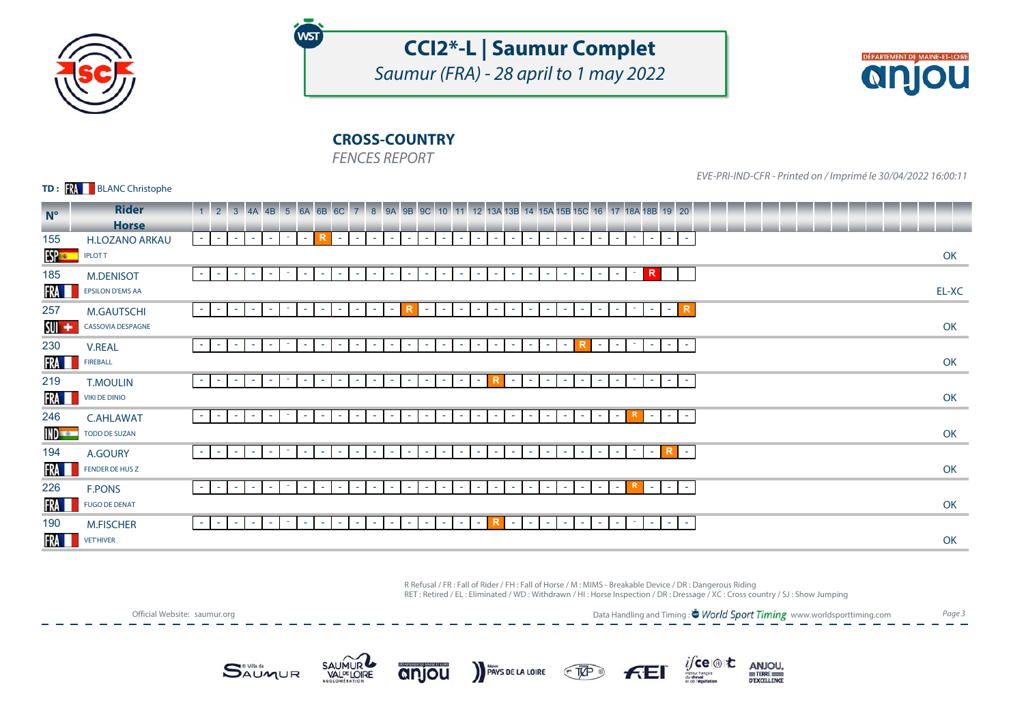

# **CCI2\*-L | Saumur Complet**

Saumur (FRA) - 28 april to 1 may 2022



## **CROSS-COUNTRY**

FENCES REPORT

WST

#### **TD: KA** BLANC Christophe

EVE-PRI-IND-CFR - Printed on / Imprimé le 30/04/2022 16:00:11

| $N^{\circ}$   | <b>Rider</b>            | $\begin{array}{ c c c c c }\n\hline\n1 & 2 & 3\n\end{array}$<br>7 8 9A 9B 9C 10 11 12 13A 13B 14 15A 15B 15C 16 17 18A 18B 19 20<br>4A 4B 5 6A 6B 6C                                                                                                                                                                         |       |
|---------------|-------------------------|------------------------------------------------------------------------------------------------------------------------------------------------------------------------------------------------------------------------------------------------------------------------------------------------------------------------------|-------|
|               | <b>Horse</b>            |                                                                                                                                                                                                                                                                                                                              |       |
| 155           | <b>H.LOZANO ARKAU</b>   | R<br>$\sim$<br>$\sim$ 1<br>- 1<br>$\sim$ 1<br>$\sim 10$<br>$\sim$<br>$\sim$<br>$\sim$<br>$\sim$<br>$\sim$ 10 $\pm$<br>$\sim$<br>$\sim$<br>- 1<br>$\sim$<br>$\sim$ 10<br>$\sim$<br>$\sim$ 10 $\pm$<br>$\sim$<br><b>Section</b><br><b>Section</b><br>$\sim$<br>$\sim$<br>$\sim$<br>$\sim$<br>a.<br>$\sim$<br>$\sim$<br>$\sim$  |       |
| $SS -$        | <b>IPLOTT</b>           |                                                                                                                                                                                                                                                                                                                              | OK    |
| 185           | <b>M.DENISOT</b>        | R<br>$\sim$<br>٠<br>$\sim$<br>$\sim$<br>$\sim$<br>$\sim$ 10<br>$\sim$<br>$\sim$<br>$\sim$<br>$\sim$<br>$\sim$<br>$\sim$<br>$\sim$<br>$\sim$<br>$\sim$<br>$\sim$<br>$\sim$<br>$\sim$<br>$\sim$<br>$\sim$<br>$\sim$<br>$\sim$<br>٠<br>$\sim$<br>$\sim$<br>٠                                                                    |       |
| FRA I         | <b>EPSILON D'EMS AA</b> |                                                                                                                                                                                                                                                                                                                              | EL-XC |
| 257           | <b>M.GAUTSCHI</b>       | R.<br>٠<br>٠<br>$\sim$<br>$\sim$<br><b>Section</b><br>$\sim$<br>$\sim$<br>$\sim$<br>$\sim$<br>$\sim$<br>$\sim$<br>$\sim$<br>and the<br>$\sim$<br>$\sim$<br>٠<br>$\sim$<br>$\sim$<br>$\sim$<br>٠<br>$\sim$<br>$\sim$<br>٠<br>$\sim$                                                                                           |       |
| SUI +         | CASSOVIA DESPAGNE       |                                                                                                                                                                                                                                                                                                                              | OK    |
| 230           | <b>V.REAL</b>           | $\sim$<br><b>Contract</b><br>$\sim$<br>$\sim$<br>$\sim$<br>$\sim$<br>$\sim$<br>$\sim$<br>$\sim$<br>$\sim$<br>$\sim$<br>$\sim$<br>$\sim$<br>$\sim$<br>$\sim$<br>$\sim$<br>$\sim$<br>$\sim$<br>$\sim$<br>$\sim$<br>$\sim$<br>$\sim$<br>$\sim$<br>٠<br>$\sim$<br><b>COL</b><br><b>COL</b><br><b>COL</b>                         |       |
| FRA <b>I</b>  | <b>FIREBALL</b>         |                                                                                                                                                                                                                                                                                                                              | OK    |
| 219           | <b>T.MOULIN</b>         | $\sim$<br>$\sim$<br>$\sim$<br><b>.</b><br>$\sim$<br>$\sim$<br>$\sim$<br>$\sim$<br><b>College</b><br>$\sim$<br>$\sim$<br>$\sim$<br>$\sim$<br>$\sim$<br>$\sim$<br>$\sim$<br>$\sim$<br>$\sim$<br>$\sim$<br><b>COL</b><br><b>COL</b><br>$\sim$<br><b>COL</b><br>$\sim$<br>and the<br><b>COL</b><br>$\sim$<br>$\sim$              |       |
| FRA <b>I</b>  | <b>VIKI DE DINIO</b>    |                                                                                                                                                                                                                                                                                                                              | OK    |
| 246           | <b>C.AHLAWAT</b>        | R<br>$\sim 10$<br>$\sim$ $-$<br>$\mathbf{d} = 0$<br>$\sim$ $ \sim$<br>$\sim$<br>$\sim$<br>$\sim$<br>$\sim$<br>$\sim$<br>CH.<br>$\sim$<br>$\sim$<br>the c<br>$\sim$<br>$\sim$<br><b>Contract</b><br>$\sim$<br>×.<br>$\sim$<br>×.<br>$\sim$<br>×.<br>$\sim$<br>$\sim$<br>$\sim$<br><b>College</b><br><b>College</b><br>and the |       |
| IND <b>to</b> | <b>TODD DE SUZAN</b>    |                                                                                                                                                                                                                                                                                                                              | OK    |
| 194           | A.GOURY                 | R<br>$\sim$<br>$\sim$<br><b>.</b><br>$\sim$<br>×.<br>$\sim$<br>$\sim$<br>$\sim$<br>$\sim$<br>$\sim$<br>×.<br>$\sim$<br>$\sim$<br>$\sim$<br>$\sim$<br>$\sim$<br>$\sim$<br>and the<br>$\sim$<br>$\sim$<br>$\sim$<br>$\sim$<br>$\sim$<br><b>COL</b><br>$\sim$<br>$\sim$<br>$\sim$<br>$\sim$                                     |       |
| FRA L         | FENDER DE HUS Z         |                                                                                                                                                                                                                                                                                                                              | OK    |
| 226           | <b>F.PONS</b>           | ٠.<br>$\sim$<br>$\sim$ 10 $\pm$<br>$\sim$<br>$\sim$<br>$\sim$<br>$\sim$<br>$\sim$<br>$\sim$<br>$\sim$<br>$\sim$<br>$\sim$<br>$\sim$<br>and the<br>$\sim$<br>$\sim$<br>$\sim$<br>٠<br>ж.<br>the con-<br>$\sim$<br>٠<br>ж.<br>the con-<br>$\sim$<br>٠<br>٠<br><b>м</b>                                                         |       |
| <b>FRA</b>    | <b>FUGO DE DENAT</b>    |                                                                                                                                                                                                                                                                                                                              | OK    |
| 190           | <b>M.FISCHER</b>        | $\sim$<br>$\sim$<br>$\sim$<br>$\sim$<br>$\sim$<br>$\sim$<br>$\sim$<br>$\sim$<br>$\sim$ 10<br>×.<br>$\sim$<br>$\sim$<br>$\sim$<br>$\sim$<br>$\sim$<br>$\sim$<br>$\sim$<br>$\sim$<br>$\sim$<br>$\sim$<br>$\sim$<br>$\sim$<br><b>COL</b><br>$\sim$<br>٠<br>and the<br>the con-<br><b>COL</b>                                    |       |
| FRA I         | <b>VET'HIVER</b>        |                                                                                                                                                                                                                                                                                                                              | OK    |

R Refusal / FR : Fall of Rider / FH : Fall of Horse / M : MIMS - Breakable Device / DR : Dangerous Riding RET : Retired / EL : Eliminated / WD : Withdrawn / HI : Horse Inspection / DR : Dressage / XC : Cross country / SJ : Show Jumping



Data Handling and Timing : <sup>\*</sup> World Sport Timing www.worldsporttiming.com Page 3

ANJOU.

DEXCELLENCE

 $if$ ce $\circledast$ t $\mathbf t$